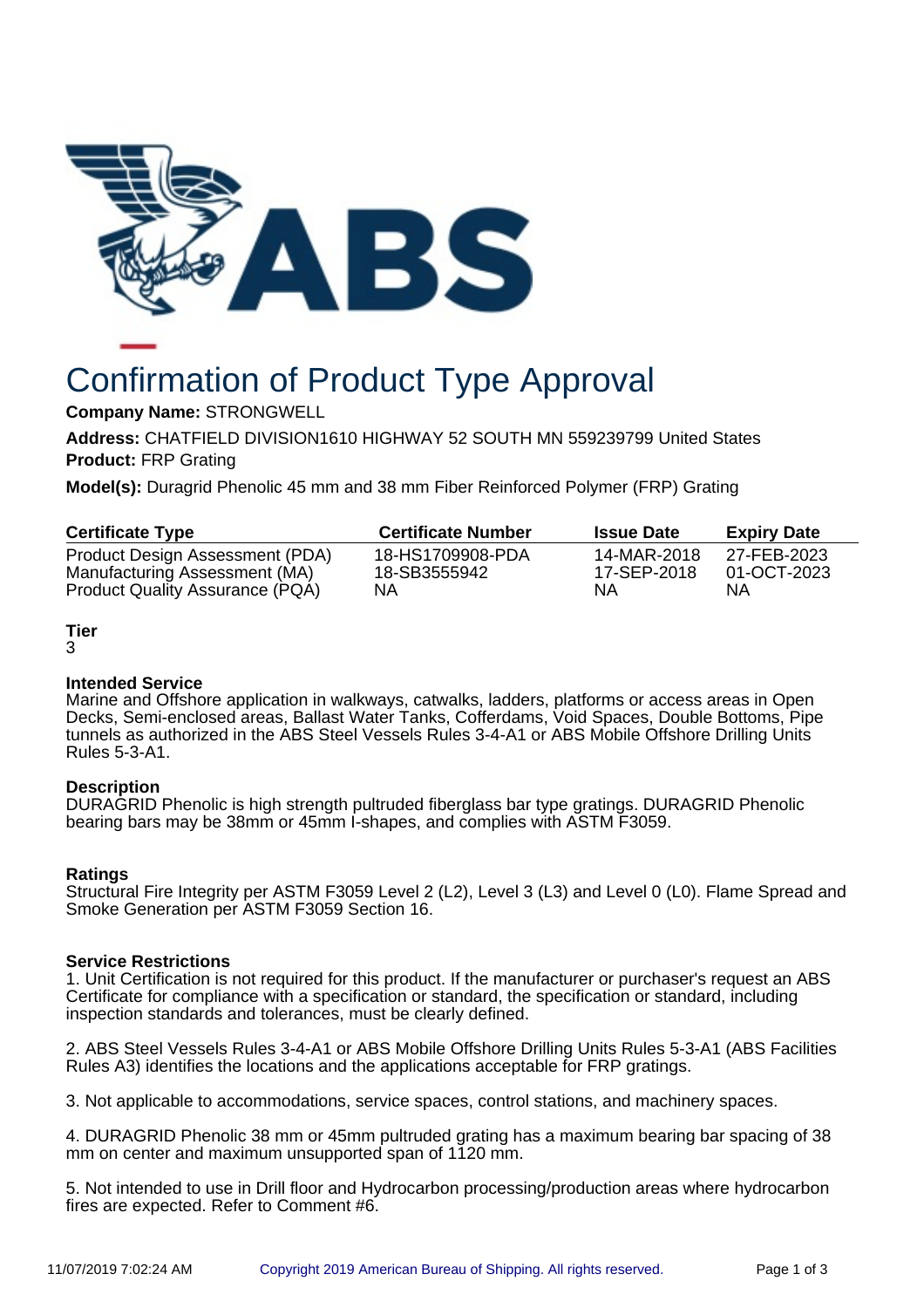

# Confirmation of Product Type Approval

**Company Name:** STRONGWELL

**Address:** CHATFIELD DIVISION1610 HIGHWAY 52 SOUTH MN 559239799 United States **Product:** FRP Grating

**Model(s):** Duragrid Phenolic 45 mm and 38 mm Fiber Reinforced Polymer (FRP) Grating

| <b>Certificate Type</b>         | <b>Certificate Number</b> | <b>Issue Date</b> | <b>Expiry Date</b> |
|---------------------------------|---------------------------|-------------------|--------------------|
| Product Design Assessment (PDA) | 18-HS1709908-PDA          | 14-MAR-2018       | 27-FEB-2023        |
| Manufacturing Assessment (MA)   | 18-SB3555942              | 17-SEP-2018       | 01-OCT-2023        |
| Product Quality Assurance (PQA) | NΑ                        | ΝA                | ΝA                 |

# **Tier**

3

# **Intended Service**

Marine and Offshore application in walkways, catwalks, ladders, platforms or access areas in Open Decks, Semi-enclosed areas, Ballast Water Tanks, Cofferdams, Void Spaces, Double Bottoms, Pipe tunnels as authorized in the ABS Steel Vessels Rules 3-4-A1 or ABS Mobile Offshore Drilling Units Rules 5-3-A1.

# **Description**

DURAGRID Phenolic is high strength pultruded fiberglass bar type gratings. DURAGRID Phenolic bearing bars may be 38mm or 45mm I-shapes, and complies with ASTM F3059.

# **Ratings**

Structural Fire Integrity per ASTM F3059 Level 2 (L2), Level 3 (L3) and Level 0 (L0). Flame Spread and Smoke Generation per ASTM F3059 Section 16.

# **Service Restrictions**

1. Unit Certification is not required for this product. If the manufacturer or purchaser's request an ABS Certificate for compliance with a specification or standard, the specification or standard, including inspection standards and tolerances, must be clearly defined.

2. ABS Steel Vessels Rules 3-4-A1 or ABS Mobile Offshore Drilling Units Rules 5-3-A1 (ABS Facilities Rules A3) identifies the locations and the applications acceptable for FRP gratings.

3. Not applicable to accommodations, service spaces, control stations, and machinery spaces.

4. DURAGRID Phenolic 38 mm or 45mm pultruded grating has a maximum bearing bar spacing of 38 mm on center and maximum unsupported span of 1120 mm.

5. Not intended to use in Drill floor and Hydrocarbon processing/production areas where hydrocarbon fires are expected. Refer to Comment #6.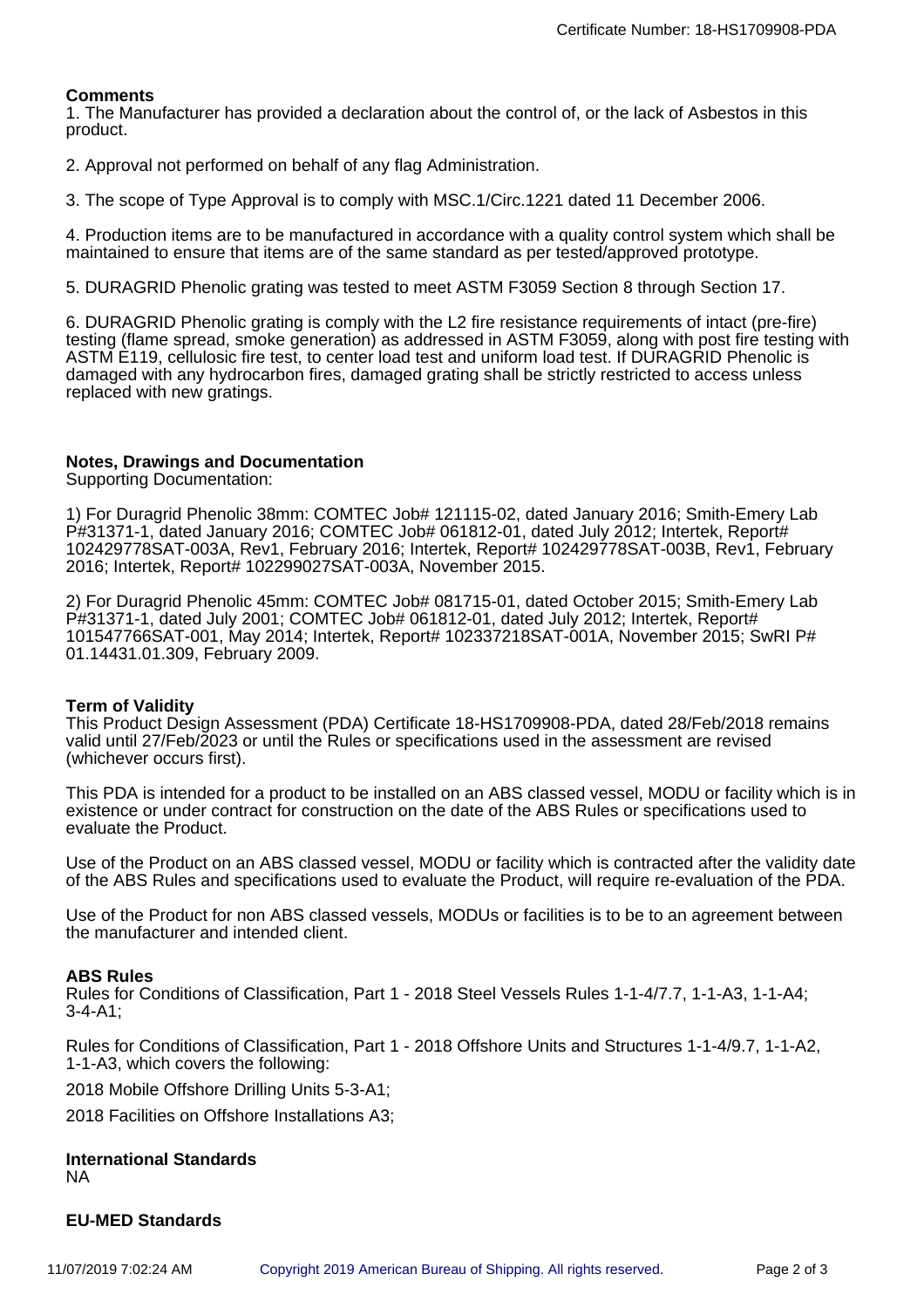### **Comments**

1. The Manufacturer has provided a declaration about the control of, or the lack of Asbestos in this product.

2. Approval not performed on behalf of any flag Administration.

3. The scope of Type Approval is to comply with MSC.1/Circ.1221 dated 11 December 2006.

4. Production items are to be manufactured in accordance with a quality control system which shall be maintained to ensure that items are of the same standard as per tested/approved prototype.

5. DURAGRID Phenolic grating was tested to meet ASTM F3059 Section 8 through Section 17.

6. DURAGRID Phenolic grating is comply with the L2 fire resistance requirements of intact (pre-fire) testing (flame spread, smoke generation) as addressed in ASTM F3059, along with post fire testing with ASTM E119, cellulosic fire test, to center load test and uniform load test. If DURAGRID Phenolic is damaged with any hydrocarbon fires, damaged grating shall be strictly restricted to access unless replaced with new gratings.

#### **Notes, Drawings and Documentation**

Supporting Documentation:

1) For Duragrid Phenolic 38mm: COMTEC Job# 121115-02, dated January 2016; Smith-Emery Lab P#31371-1, dated January 2016; COMTEC Job# 061812-01, dated July 2012; Intertek, Report# 102429778SAT-003A, Rev1, February 2016; Intertek, Report# 102429778SAT-003B, Rev1, February 2016; Intertek, Report# 102299027SAT-003A, November 2015.

2) For Duragrid Phenolic 45mm: COMTEC Job# 081715-01, dated October 2015; Smith-Emery Lab P#31371-1, dated July 2001; COMTEC Job# 061812-01, dated July 2012; Intertek, Report# 101547766SAT-001, May 2014; Intertek, Report# 102337218SAT-001A, November 2015; SwRI P# 01.14431.01.309, February 2009.

#### **Term of Validity**

This Product Design Assessment (PDA) Certificate 18-HS1709908-PDA, dated 28/Feb/2018 remains valid until 27/Feb/2023 or until the Rules or specifications used in the assessment are revised (whichever occurs first).

This PDA is intended for a product to be installed on an ABS classed vessel, MODU or facility which is in existence or under contract for construction on the date of the ABS Rules or specifications used to evaluate the Product.

Use of the Product on an ABS classed vessel, MODU or facility which is contracted after the validity date of the ABS Rules and specifications used to evaluate the Product, will require re-evaluation of the PDA.

Use of the Product for non ABS classed vessels, MODUs or facilities is to be to an agreement between the manufacturer and intended client.

#### **ABS Rules**

Rules for Conditions of Classification, Part 1 - 2018 Steel Vessels Rules 1-1-4/7.7, 1-1-A3, 1-1-A4; 3-4-A1;

Rules for Conditions of Classification, Part 1 - 2018 Offshore Units and Structures 1-1-4/9.7, 1-1-A2, 1-1-A3, which covers the following:

2018 Mobile Offshore Drilling Units 5-3-A1;

2018 Facilities on Offshore Installations A3;

#### **International Standards** NA

#### **EU-MED Standards**